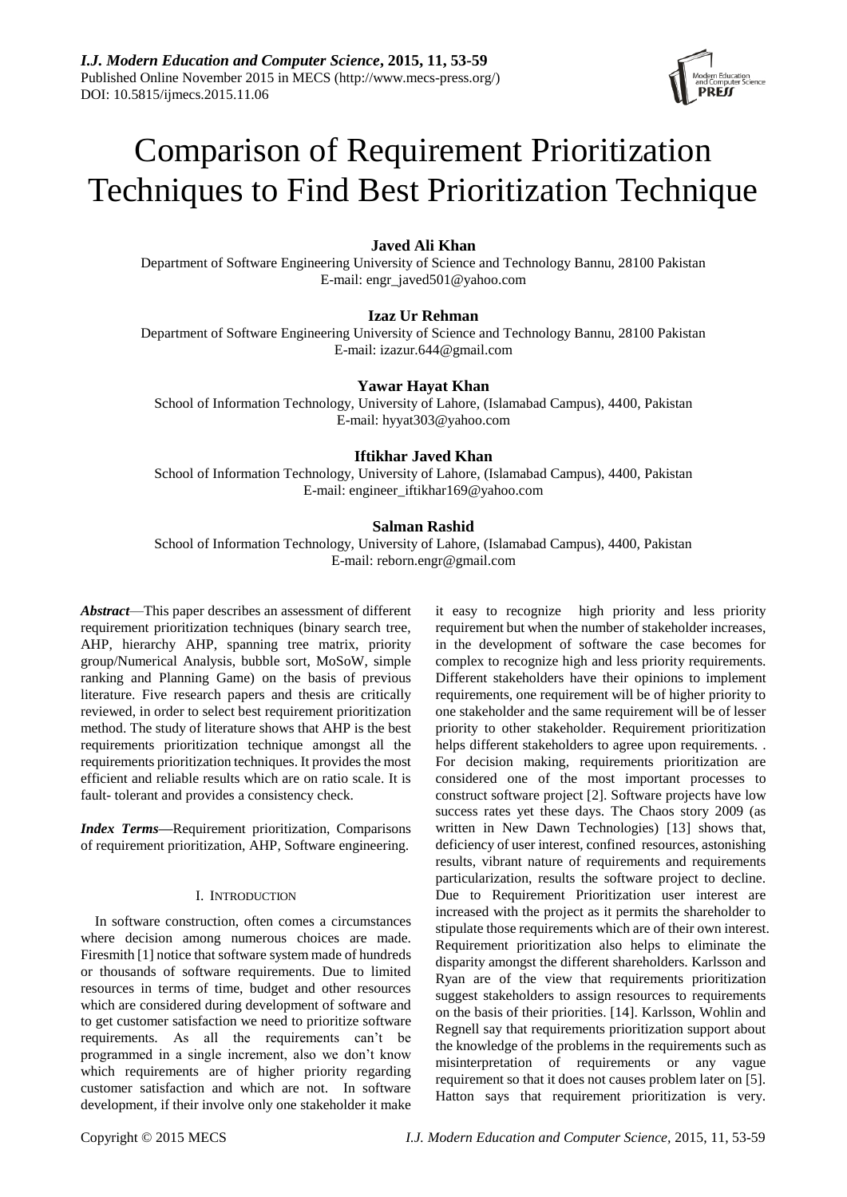

# Comparison of Requirement Prioritization Techniques to Find Best Prioritization Technique

# **Javed Ali Khan**

Department of Software Engineering University of Science and Technology Bannu, 28100 Pakistan E-mail: engr\_javed501@yahoo.com

# **Izaz Ur Rehman**

Department of Software Engineering University of Science and Technology Bannu, 28100 Pakistan E-mail: [izazur.644@gmail.com](mailto:izazur.644@gmail.com)

## **Yawar Hayat Khan**

School of Information Technology, University of Lahore, (Islamabad Campus), 4400, Pakistan E-mail: hyyat303@yahoo.com

# **Iftikhar Javed Khan**

School of Information Technology, University of Lahore, (Islamabad Campus), 4400, Pakistan E-mail[: engineer\\_iftikhar169@yahoo.com](mailto:engineer_iftikhar169@yahoo.com)

# **Salman Rashid**

School of Information Technology, University of Lahore, (Islamabad Campus), 4400, Pakistan E-mail: reborn.engr@gmail.com

*Abstract*—This paper describes an assessment of different requirement prioritization techniques (binary search tree, AHP, hierarchy AHP, spanning tree matrix, priority group/Numerical Analysis, bubble sort, MoSoW, simple ranking and Planning Game) on the basis of previous literature. Five research papers and thesis are critically reviewed, in order to select best requirement prioritization method. The study of literature shows that AHP is the best requirements prioritization technique amongst all the requirements prioritization techniques. It provides the most efficient and reliable results which are on ratio scale. It is fault- tolerant and provides a consistency check.

*Index Terms***—**Requirement prioritization, Comparisons of requirement prioritization, AHP, Software engineering.

#### I. INTRODUCTION

In software construction, often comes a circumstances where decision among numerous choices are made. Firesmith [1] notice that software system made of hundreds or thousands of software requirements. Due to limited resources in terms of time, budget and other resources which are considered during development of software and to get customer satisfaction we need to prioritize software requirements. As all the requirements can't be programmed in a single increment, also we don't know which requirements are of higher priority regarding customer satisfaction and which are not. In software development, if their involve only one stakeholder it make it easy to recognize high priority and less priority requirement but when the number of stakeholder increases, in the development of software the case becomes for complex to recognize high and less priority requirements. Different stakeholders have their opinions to implement requirements, one requirement will be of higher priority to one stakeholder and the same requirement will be of lesser priority to other stakeholder. Requirement prioritization helps different stakeholders to agree upon requirements. . For decision making, requirements prioritization are considered one of the most important processes to construct software project [2]. Software projects have low success rates yet these days. The Chaos story 2009 (as written in New Dawn Technologies) [13] shows that, deficiency of user interest, confined resources, astonishing results, vibrant nature of requirements and requirements particularization, results the software project to decline. Due to Requirement Prioritization user interest are increased with the project as it permits the shareholder to stipulate those requirements which are of their own interest. Requirement prioritization also helps to eliminate the disparity amongst the different shareholders. Karlsson and Ryan are of the view that requirements prioritization suggest stakeholders to assign resources to requirements on the basis of their priorities. [14]. Karlsson, Wohlin and Regnell say that requirements prioritization support about the knowledge of the problems in the requirements such as misinterpretation of requirements or any vague requirement so that it does not causes problem later on [5]. Hatton says that requirement prioritization is very.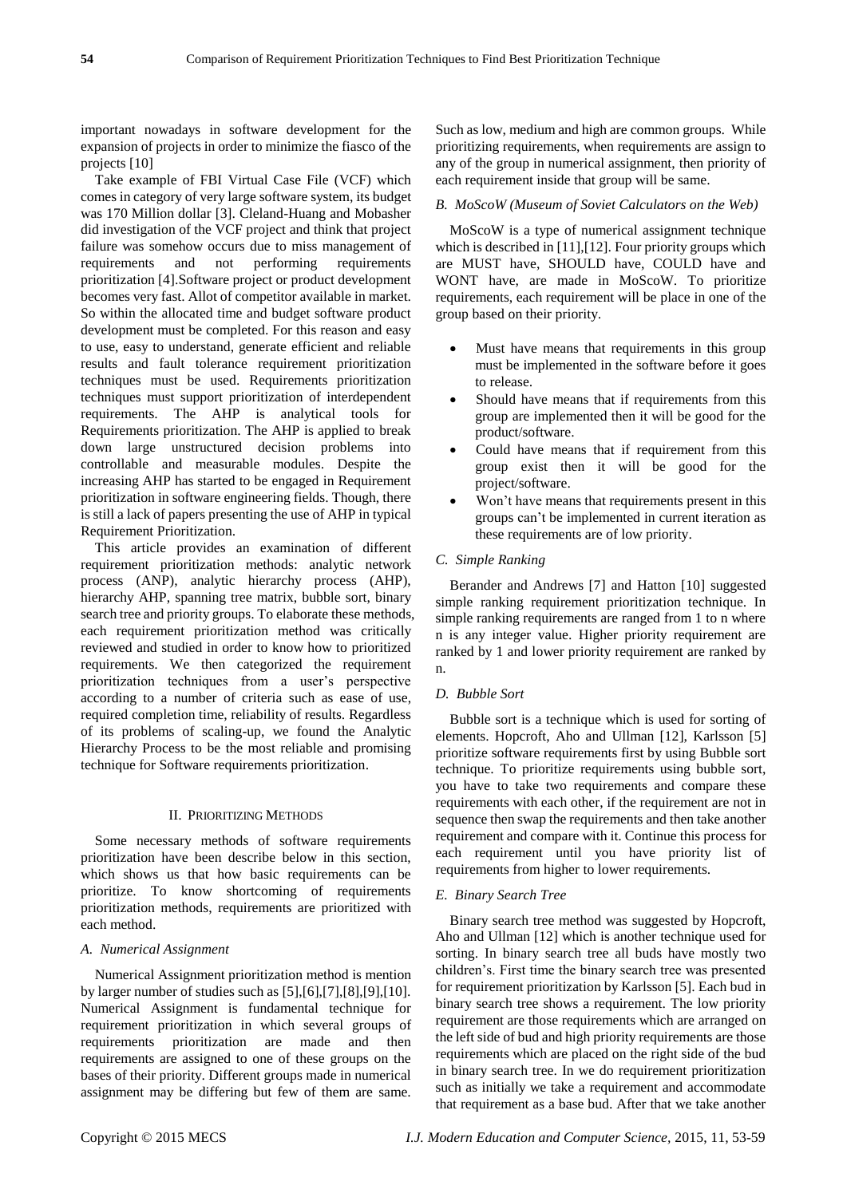important nowadays in software development for the expansion of projects in order to minimize the fiasco of the projects [10]

Take example of FBI Virtual Case File (VCF) which comes in category of very large software system, its budget was 170 Million dollar [3]. Cleland-Huang and Mobasher did investigation of the VCF project and think that project failure was somehow occurs due to miss management of requirements and not performing requirements prioritization [4].Software project or product development becomes very fast. Allot of competitor available in market. So within the allocated time and budget software product development must be completed. For this reason and easy to use, easy to understand, generate efficient and reliable results and fault tolerance requirement prioritization techniques must be used. Requirements prioritization techniques must support prioritization of interdependent requirements. The AHP is analytical tools for Requirements prioritization. The AHP is applied to break down large unstructured decision problems into controllable and measurable modules. Despite the increasing AHP has started to be engaged in Requirement prioritization in software engineering fields. Though, there is still a lack of papers presenting the use of AHP in typical Requirement Prioritization.

This article provides an examination of different requirement prioritization methods: analytic network process (ANP), analytic hierarchy process (AHP), hierarchy AHP, spanning tree matrix, bubble sort, binary search tree and priority groups. To elaborate these methods, each requirement prioritization method was critically reviewed and studied in order to know how to prioritized requirements. We then categorized the requirement prioritization techniques from a user's perspective according to a number of criteria such as ease of use, required completion time, reliability of results. Regardless of its problems of scaling-up, we found the Analytic Hierarchy Process to be the most reliable and promising technique for Software requirements prioritization.

# II. PRIORITIZING METHODS

Some necessary methods of software requirements prioritization have been describe below in this section, which shows us that how basic requirements can be prioritize. To know shortcoming of requirements prioritization methods, requirements are prioritized with each method.

#### *A. Numerical Assignment*

Numerical Assignment prioritization method is mention by larger number of studies such as [5],[6],[7],[8],[9],[10]. Numerical Assignment is fundamental technique for requirement prioritization in which several groups of requirements prioritization are made and then requirements are assigned to one of these groups on the bases of their priority. Different groups made in numerical assignment may be differing but few of them are same.

Such as low, medium and high are common groups. While prioritizing requirements, when requirements are assign to any of the group in numerical assignment, then priority of each requirement inside that group will be same.

#### *B. MoScoW (Museum of Soviet Calculators on the Web)*

MoScoW is a type of numerical assignment technique which is described in [11], [12]. Four priority groups which are MUST have, SHOULD have, COULD have and WONT have, are made in MoScoW. To prioritize requirements, each requirement will be place in one of the group based on their priority.

- Must have means that requirements in this group must be implemented in the software before it goes to release.
- Should have means that if requirements from this group are implemented then it will be good for the product/software.
- Could have means that if requirement from this group exist then it will be good for the project/software.
- Won't have means that requirements present in this groups can't be implemented in current iteration as these requirements are of low priority.

## *C. Simple Ranking*

Berander and Andrews [7] and Hatton [10] suggested simple ranking requirement prioritization technique. In simple ranking requirements are ranged from 1 to n where n is any integer value. Higher priority requirement are ranked by 1 and lower priority requirement are ranked by n.

#### *D. Bubble Sort*

Bubble sort is a technique which is used for sorting of elements. Hopcroft, Aho and Ullman [12], Karlsson [5] prioritize software requirements first by using Bubble sort technique. To prioritize requirements using bubble sort, you have to take two requirements and compare these requirements with each other, if the requirement are not in sequence then swap the requirements and then take another requirement and compare with it. Continue this process for each requirement until you have priority list of requirements from higher to lower requirements.

#### *E. Binary Search Tree*

Binary search tree method was suggested by Hopcroft, Aho and Ullman [12] which is another technique used for sorting. In binary search tree all buds have mostly two children's. First time the binary search tree was presented for requirement prioritization by Karlsson [5]. Each bud in binary search tree shows a requirement. The low priority requirement are those requirements which are arranged on the left side of bud and high priority requirements are those requirements which are placed on the right side of the bud in binary search tree. In we do requirement prioritization such as initially we take a requirement and accommodate that requirement as a base bud. After that we take another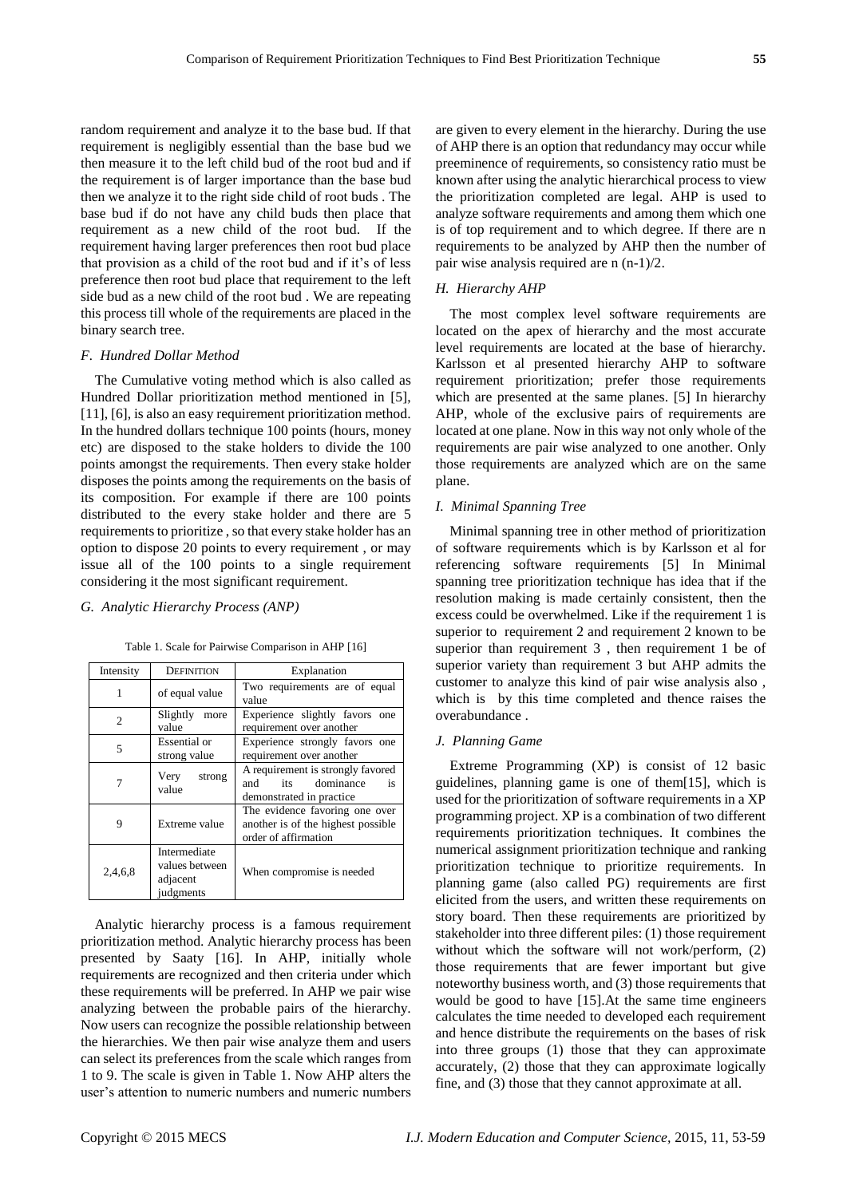random requirement and analyze it to the base bud. If that requirement is negligibly essential than the base bud we then measure it to the left child bud of the root bud and if the requirement is of larger importance than the base bud then we analyze it to the right side child of root buds . The base bud if do not have any child buds then place that requirement as a new child of the root bud. If the requirement having larger preferences then root bud place that provision as a child of the root bud and if it's of less preference then root bud place that requirement to the left side bud as a new child of the root bud . We are repeating this process till whole of the requirements are placed in the binary search tree.

#### *F. Hundred Dollar Method*

The Cumulative voting method which is also called as Hundred Dollar prioritization method mentioned in [5], [11], [6], is also an easy requirement prioritization method. In the hundred dollars technique 100 points (hours, money etc) are disposed to the stake holders to divide the 100 points amongst the requirements. Then every stake holder disposes the points among the requirements on the basis of its composition. For example if there are 100 points distributed to the every stake holder and there are 5 requirements to prioritize , so that every stake holder has an option to dispose 20 points to every requirement , or may issue all of the 100 points to a single requirement considering it the most significant requirement.

## *G. Analytic Hierarchy Process (ANP)*

| Intensity      | <b>DEFINITION</b>                                       | Explanation                                                                                  |  |  |  |
|----------------|---------------------------------------------------------|----------------------------------------------------------------------------------------------|--|--|--|
| 1              | of equal value                                          | Two requirements are of equal<br>value                                                       |  |  |  |
| $\mathfrak{D}$ | Slightly<br>more<br>value                               | Experience slightly favors one<br>requirement over another                                   |  |  |  |
| 5              | Essential or<br>strong value                            | Experience strongly favors one<br>requirement over another                                   |  |  |  |
|                | Very<br>strong<br>value                                 | A requirement is strongly favored<br>its dominance<br>and<br>is<br>demonstrated in practice  |  |  |  |
| 9              | Extreme value                                           | The evidence favoring one over<br>another is of the highest possible<br>order of affirmation |  |  |  |
| 2,4,6,8        | Intermediate<br>values between<br>adjacent<br>judgments | When compromise is needed                                                                    |  |  |  |

Table 1. Scale for Pairwise Comparison in AHP [16]

Analytic hierarchy process is a famous requirement prioritization method. Analytic hierarchy process has been presented by Saaty [16]. In AHP, initially whole requirements are recognized and then criteria under which these requirements will be preferred. In AHP we pair wise analyzing between the probable pairs of the hierarchy. Now users can recognize the possible relationship between the hierarchies. We then pair wise analyze them and users can select its preferences from the scale which ranges from 1 to 9. The scale is given in Table 1. Now AHP alters the user's attention to numeric numbers and numeric numbers

are given to every element in the hierarchy. During the use of AHP there is an option that redundancy may occur while preeminence of requirements, so consistency ratio must be known after using the analytic hierarchical process to view the prioritization completed are legal. AHP is used to analyze software requirements and among them which one is of top requirement and to which degree. If there are n requirements to be analyzed by AHP then the number of pair wise analysis required are n (n-1)/2.

## *H. Hierarchy AHP*

The most complex level software requirements are located on the apex of hierarchy and the most accurate level requirements are located at the base of hierarchy. Karlsson et al presented hierarchy AHP to software requirement prioritization; prefer those requirements which are presented at the same planes. [5] In hierarchy AHP, whole of the exclusive pairs of requirements are located at one plane. Now in this way not only whole of the requirements are pair wise analyzed to one another. Only those requirements are analyzed which are on the same plane.

## *I. Minimal Spanning Tree*

Minimal spanning tree in other method of prioritization of software requirements which is by Karlsson et al for referencing software requirements [5] In Minimal spanning tree prioritization technique has idea that if the resolution making is made certainly consistent, then the excess could be overwhelmed. Like if the requirement 1 is superior to requirement 2 and requirement 2 known to be superior than requirement 3 , then requirement 1 be of superior variety than requirement 3 but AHP admits the customer to analyze this kind of pair wise analysis also , which is by this time completed and thence raises the overabundance .

## *J. Planning Game*

Extreme Programming (XP) is consist of 12 basic guidelines, planning game is one of them[15], which is used for the prioritization of software requirements in a XP programming project. XP is a combination of two different requirements prioritization techniques. It combines the numerical assignment prioritization technique and ranking prioritization technique to prioritize requirements. In planning game (also called PG) requirements are first elicited from the users, and written these requirements on story board. Then these requirements are prioritized by stakeholder into three different piles: (1) those requirement without which the software will not work/perform, (2) those requirements that are fewer important but give noteworthy business worth, and (3) those requirements that would be good to have [15].At the same time engineers calculates the time needed to developed each requirement and hence distribute the requirements on the bases of risk into three groups (1) those that they can approximate accurately, (2) those that they can approximate logically fine, and (3) those that they cannot approximate at all.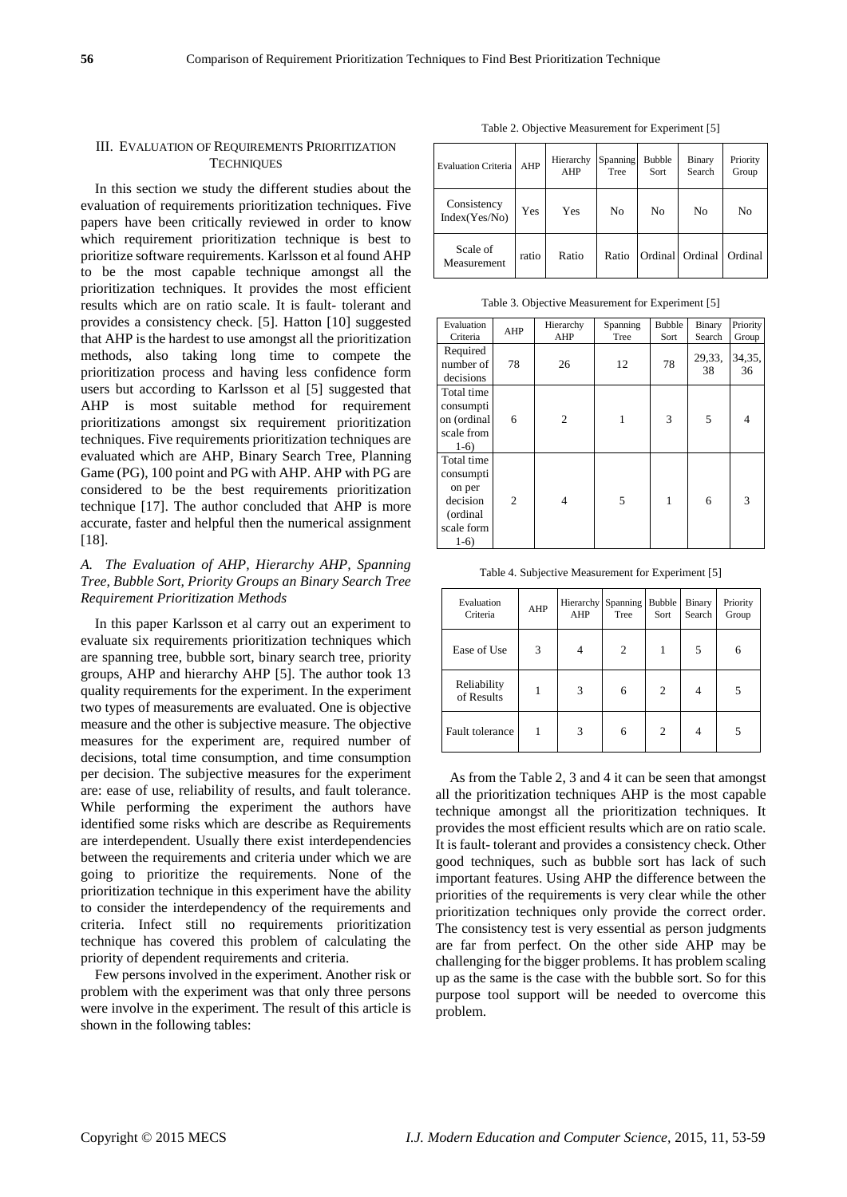# III. EVALUATION OF REQUIREMENTS PRIORITIZATION **TECHNIQUES**

In this section we study the different studies about the evaluation of requirements prioritization techniques. Five papers have been critically reviewed in order to know which requirement prioritization technique is best to prioritize software requirements. Karlsson et al found AHP to be the most capable technique amongst all the prioritization techniques. It provides the most efficient results which are on ratio scale. It is fault- tolerant and provides a consistency check. [5]. Hatton [10] suggested that AHP is the hardest to use amongst all the prioritization methods, also taking long time to compete the prioritization process and having less confidence form users but according to Karlsson et al [5] suggested that AHP is most suitable method for requirement prioritizations amongst six requirement prioritization techniques. Five requirements prioritization techniques are evaluated which are AHP, Binary Search Tree, Planning Game (PG), 100 point and PG with AHP. AHP with PG are considered to be the best requirements prioritization technique [17]. The author concluded that AHP is more accurate, faster and helpful then the numerical assignment [18].

# *A. The Evaluation of AHP, Hierarchy AHP, Spanning Tree, Bubble Sort, Priority Groups an Binary Search Tree Requirement Prioritization Methods*

In this paper Karlsson et al carry out an experiment to evaluate six requirements prioritization techniques which are spanning tree, bubble sort, binary search tree, priority groups, AHP and hierarchy AHP [5]. The author took 13 quality requirements for the experiment. In the experiment two types of measurements are evaluated. One is objective measure and the other is subjective measure. The objective measures for the experiment are, required number of decisions, total time consumption, and time consumption per decision. The subjective measures for the experiment are: ease of use, reliability of results, and fault tolerance. While performing the experiment the authors have identified some risks which are describe as Requirements are interdependent. Usually there exist interdependencies between the requirements and criteria under which we are going to prioritize the requirements. None of the prioritization technique in this experiment have the ability to consider the interdependency of the requirements and criteria. Infect still no requirements prioritization technique has covered this problem of calculating the priority of dependent requirements and criteria.

Few persons involved in the experiment. Another risk or problem with the experiment was that only three persons were involve in the experiment. The result of this article is shown in the following tables:

Table 2. Objective Measurement for Experiment [5]

| <b>Evaluation Criteria</b>   | AHP   | Hierarchy<br>AHP | Spanning<br>Tree | <b>Bubble</b><br>Sort | Binary<br>Search  | Priority<br>Group |
|------------------------------|-------|------------------|------------------|-----------------------|-------------------|-------------------|
| Consistency<br>Index(Yes/No) | Yes   | Yes              | N <sub>0</sub>   | No                    | No                | No                |
| Scale of<br>Measurement      | ratio | Ratio            | Ratio            |                       | Ordinal   Ordinal | Ordinal           |

Table 3. Objective Measurement for Experiment [5]

| Evaluation<br>Criteria | AHP            | Hierarchy<br>AHP | Spanning<br>Tree | <b>Bubble</b><br>Sort | Binary<br>Search | Priority<br>Group |
|------------------------|----------------|------------------|------------------|-----------------------|------------------|-------------------|
|                        |                |                  |                  |                       |                  |                   |
| Required               |                |                  |                  |                       | 29,33,           | 34,35,            |
| number of              | 78             | 26               | 12               | 78                    | 38               | 36                |
| decisions              |                |                  |                  |                       |                  |                   |
| Total time             |                |                  |                  |                       |                  |                   |
| consumpti              |                |                  |                  |                       |                  |                   |
| on (ordinal            | 6              | 2                | 1                | 3                     | 5                | $\overline{4}$    |
| scale from             |                |                  |                  |                       |                  |                   |
| $1-6)$                 |                |                  |                  |                       |                  |                   |
| Total time             |                |                  |                  |                       |                  |                   |
| consumpti              |                |                  |                  |                       |                  |                   |
| on per                 |                |                  |                  |                       |                  |                   |
| decision               | $\overline{2}$ | 4                | 5                | 1                     | 6                | 3                 |
| (ordinal)              |                |                  |                  |                       |                  |                   |
| scale form             |                |                  |                  |                       |                  |                   |
| $1-6)$                 |                |                  |                  |                       |                  |                   |

Table 4. Subjective Measurement for Experiment [5]

| Evaluation<br>Criteria    | AHP | Hierarchy Spanning<br>AHP | Tree | <b>Bubble</b><br>Sort | Binary<br>Search | Priority<br>Group |
|---------------------------|-----|---------------------------|------|-----------------------|------------------|-------------------|
| Ease of Use               | 3   | 4                         | 2    |                       | 5                | 6                 |
| Reliability<br>of Results |     | 3                         | 6    | 2                     |                  | 5                 |
| Fault tolerance           | 1   | 3                         | 6    | 2                     |                  | 5                 |

As from the Table 2, 3 and 4 it can be seen that amongst all the prioritization techniques AHP is the most capable technique amongst all the prioritization techniques. It provides the most efficient results which are on ratio scale. It is fault- tolerant and provides a consistency check. Other good techniques, such as bubble sort has lack of such important features. Using AHP the difference between the priorities of the requirements is very clear while the other prioritization techniques only provide the correct order. The consistency test is very essential as person judgments are far from perfect. On the other side AHP may be challenging for the bigger problems. It has problem scaling up as the same is the case with the bubble sort. So for this purpose tool support will be needed to overcome this problem.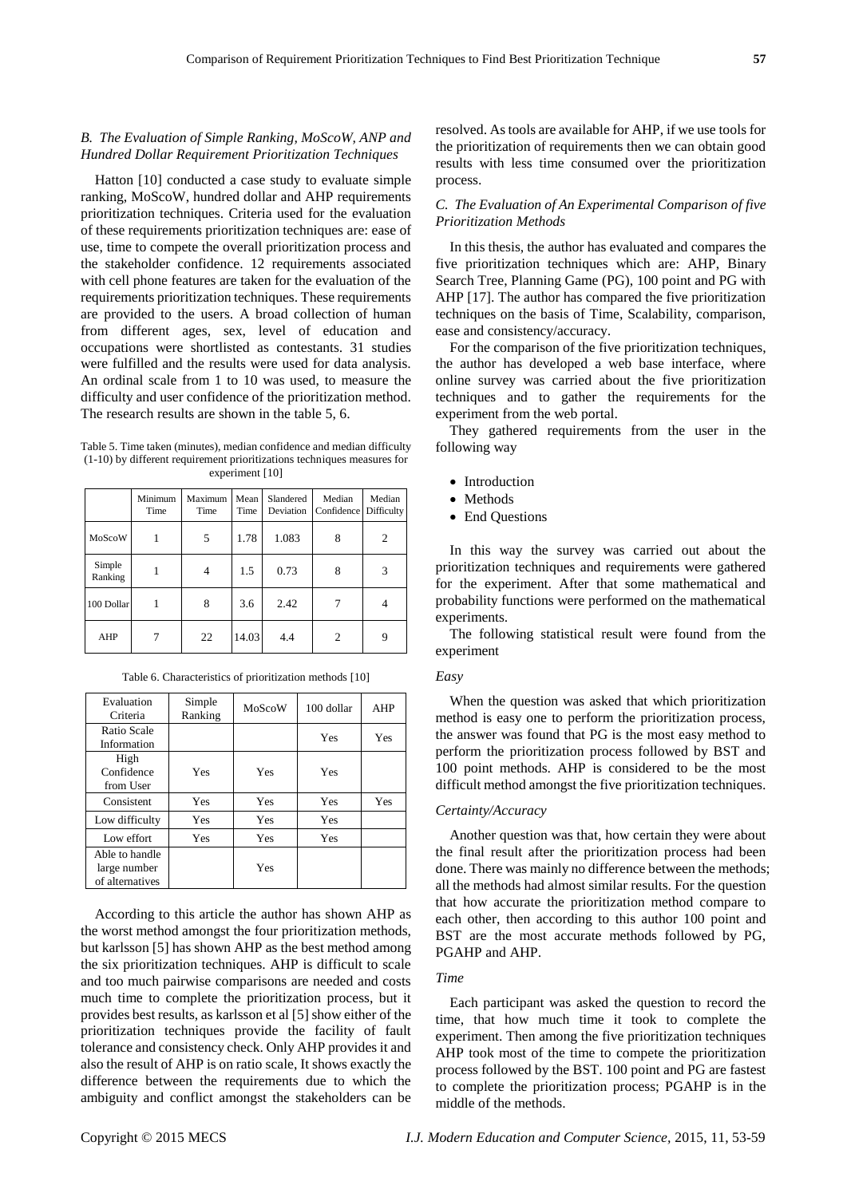# *B. The Evaluation of Simple Ranking, MoScoW, ANP and Hundred Dollar Requirement Prioritization Techniques*

Hatton [10] conducted a case study to evaluate simple ranking, MoScoW, hundred dollar and AHP requirements prioritization techniques. Criteria used for the evaluation of these requirements prioritization techniques are: ease of use, time to compete the overall prioritization process and the stakeholder confidence. 12 requirements associated with cell phone features are taken for the evaluation of the requirements prioritization techniques. These requirements are provided to the users. A broad collection of human from different ages, sex, level of education and occupations were shortlisted as contestants. 31 studies were fulfilled and the results were used for data analysis. An ordinal scale from 1 to 10 was used, to measure the difficulty and user confidence of the prioritization method. The research results are shown in the table 5, 6.

Table 5. Time taken (minutes), median confidence and median difficulty (1-10) by different requirement prioritizations techniques measures for experiment [10]

|                   | Minimum<br>Time | Maximum<br>Time | Mean<br>Time | Slandered<br>Deviation | Median<br>Confidence | Median<br>Difficulty |
|-------------------|-----------------|-----------------|--------------|------------------------|----------------------|----------------------|
| MoScoW            |                 | 5               | 1.78         | 1.083                  | 8                    | 2                    |
| Simple<br>Ranking |                 | 4               | 1.5          | 0.73                   | 8                    | 3                    |
| 100 Dollar        |                 | 8               | 3.6          | 2.42                   |                      | 4                    |
| AHP               |                 | 22              | 14.03        | 4.4                    | $\overline{c}$       | 9                    |

| Evaluation<br>Criteria                            | Simple<br>Ranking | MoScoW | 100 dollar | <b>AHP</b> |
|---------------------------------------------------|-------------------|--------|------------|------------|
| Ratio Scale<br>Information                        |                   |        | Yes        | Yes        |
| High<br>Confidence<br>from User                   | Yes               | Yes    | Yes        |            |
| Consistent                                        | Yes               | Yes    | Yes        | Yes        |
| Low difficulty                                    | Yes               | Yes    | Yes        |            |
| Low effort                                        | Yes               | Yes    | Yes        |            |
| Able to handle<br>large number<br>of alternatives |                   | Yes    |            |            |

Table 6. Characteristics of prioritization methods [10]

According to this article the author has shown AHP as the worst method amongst the four prioritization methods, but karlsson [5] has shown AHP as the best method among the six prioritization techniques. AHP is difficult to scale and too much pairwise comparisons are needed and costs much time to complete the prioritization process, but it provides best results, as karlsson et al [5] show either of the prioritization techniques provide the facility of fault tolerance and consistency check. Only AHP provides it and also the result of AHP is on ratio scale, It shows exactly the difference between the requirements due to which the ambiguity and conflict amongst the stakeholders can be resolved. As tools are available for AHP, if we use tools for the prioritization of requirements then we can obtain good results with less time consumed over the prioritization process.

## *C. The Evaluation of An Experimental Comparison of five Prioritization Methods*

In this thesis, the author has evaluated and compares the five prioritization techniques which are: AHP, Binary Search Tree, Planning Game (PG), 100 point and PG with AHP [17]. The author has compared the five prioritization techniques on the basis of Time, Scalability, comparison, ease and consistency/accuracy.

For the comparison of the five prioritization techniques, the author has developed a web base interface, where online survey was carried about the five prioritization techniques and to gather the requirements for the experiment from the web portal.

They gathered requirements from the user in the following way

- Introduction
- Methods
- End Questions

In this way the survey was carried out about the prioritization techniques and requirements were gathered for the experiment. After that some mathematical and probability functions were performed on the mathematical experiments.

The following statistical result were found from the experiment

#### *Easy*

When the question was asked that which prioritization method is easy one to perform the prioritization process, the answer was found that PG is the most easy method to perform the prioritization process followed by BST and 100 point methods. AHP is considered to be the most difficult method amongst the five prioritization techniques.

#### *Certainty/Accuracy*

Another question was that, how certain they were about the final result after the prioritization process had been done. There was mainly no difference between the methods; all the methods had almost similar results. For the question that how accurate the prioritization method compare to each other, then according to this author 100 point and BST are the most accurate methods followed by PG, PGAHP and AHP.

## *Time*

Each participant was asked the question to record the time, that how much time it took to complete the experiment. Then among the five prioritization techniques AHP took most of the time to compete the prioritization process followed by the BST. 100 point and PG are fastest to complete the prioritization process; PGAHP is in the middle of the methods.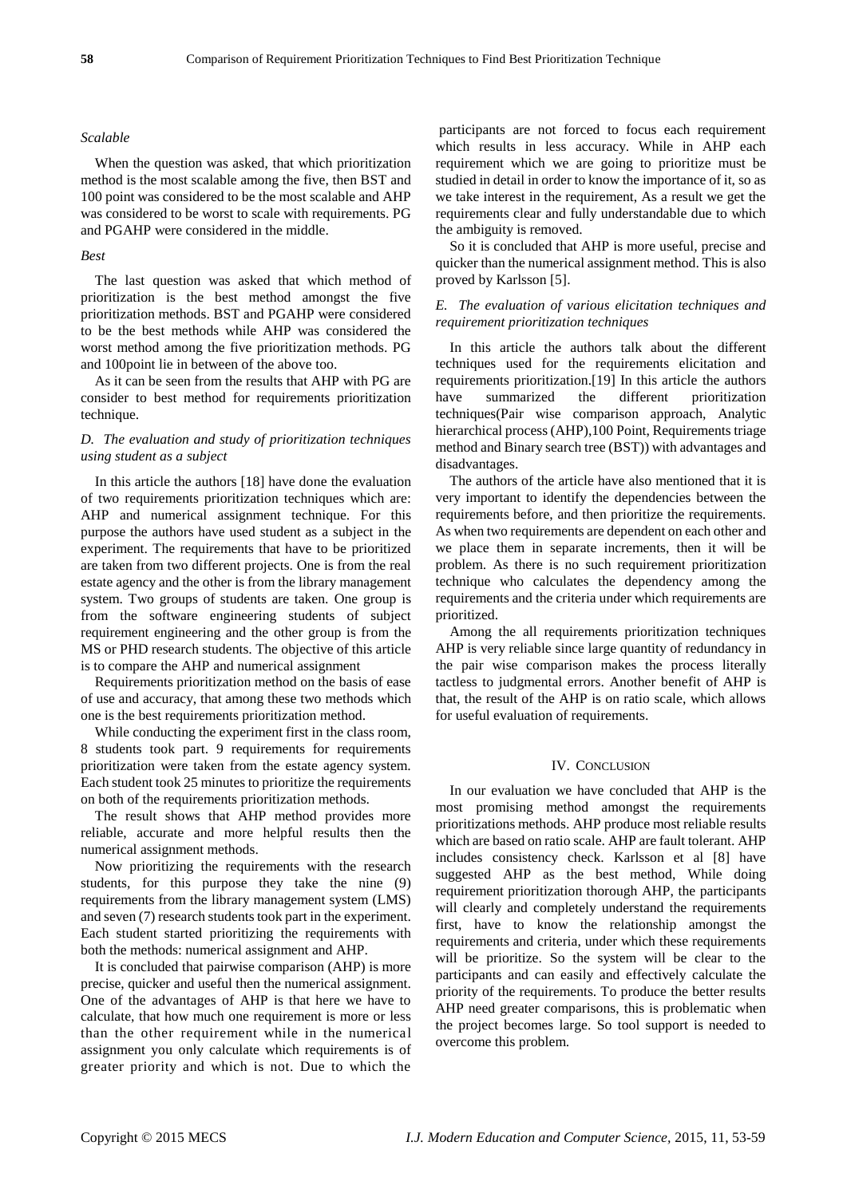#### *Scalable*

When the question was asked, that which prioritization method is the most scalable among the five, then BST and 100 point was considered to be the most scalable and AHP was considered to be worst to scale with requirements. PG and PGAHP were considered in the middle.

## *Best*

The last question was asked that which method of prioritization is the best method amongst the five prioritization methods. BST and PGAHP were considered to be the best methods while AHP was considered the worst method among the five prioritization methods. PG and 100point lie in between of the above too.

As it can be seen from the results that AHP with PG are consider to best method for requirements prioritization technique.

# *D. The evaluation and study of prioritization techniques using student as a subject*

In this article the authors [18] have done the evaluation of two requirements prioritization techniques which are: AHP and numerical assignment technique. For this purpose the authors have used student as a subject in the experiment. The requirements that have to be prioritized are taken from two different projects. One is from the real estate agency and the other is from the library management system. Two groups of students are taken. One group is from the software engineering students of subject requirement engineering and the other group is from the MS or PHD research students. The objective of this article is to compare the AHP and numerical assignment

Requirements prioritization method on the basis of ease of use and accuracy, that among these two methods which one is the best requirements prioritization method.

While conducting the experiment first in the class room, 8 students took part. 9 requirements for requirements prioritization were taken from the estate agency system. Each student took 25 minutes to prioritize the requirements on both of the requirements prioritization methods.

The result shows that AHP method provides more reliable, accurate and more helpful results then the numerical assignment methods.

Now prioritizing the requirements with the research students, for this purpose they take the nine (9) requirements from the library management system (LMS) and seven (7) research students took part in the experiment. Each student started prioritizing the requirements with both the methods: numerical assignment and AHP.

It is concluded that pairwise comparison (AHP) is more precise, quicker and useful then the numerical assignment. One of the advantages of AHP is that here we have to calculate, that how much one requirement is more or less than the other requirement while in the numerical assignment you only calculate which requirements is of greater priority and which is not. Due to which the

participants are not forced to focus each requirement which results in less accuracy. While in AHP each requirement which we are going to prioritize must be studied in detail in order to know the importance of it, so as we take interest in the requirement, As a result we get the requirements clear and fully understandable due to which the ambiguity is removed.

So it is concluded that AHP is more useful, precise and quicker than the numerical assignment method. This is also proved by Karlsson [5].

## *E. The evaluation of various elicitation techniques and requirement prioritization techniques*

In this article the authors talk about the different techniques used for the requirements elicitation and requirements prioritization.[19] In this article the authors have summarized the different prioritization techniques(Pair wise comparison approach, Analytic hierarchical process (AHP),100 Point, Requirements triage method and Binary search tree (BST)) with advantages and disadvantages.

The authors of the article have also mentioned that it is very important to identify the dependencies between the requirements before, and then prioritize the requirements. As when two requirements are dependent on each other and we place them in separate increments, then it will be problem. As there is no such requirement prioritization technique who calculates the dependency among the requirements and the criteria under which requirements are prioritized.

Among the all requirements prioritization techniques AHP is very reliable since large quantity of redundancy in the pair wise comparison makes the process literally tactless to judgmental errors. Another benefit of AHP is that, the result of the AHP is on ratio scale, which allows for useful evaluation of requirements.

## IV. CONCLUSION

In our evaluation we have concluded that AHP is the most promising method amongst the requirements prioritizations methods. AHP produce most reliable results which are based on ratio scale. AHP are fault tolerant. AHP includes consistency check. Karlsson et al [8] have suggested AHP as the best method, While doing requirement prioritization thorough AHP, the participants will clearly and completely understand the requirements first, have to know the relationship amongst the requirements and criteria, under which these requirements will be prioritize. So the system will be clear to the participants and can easily and effectively calculate the priority of the requirements. To produce the better results AHP need greater comparisons, this is problematic when the project becomes large. So tool support is needed to overcome this problem.